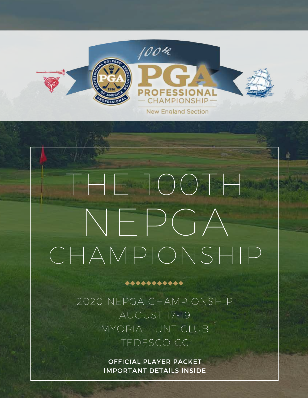

# THE 100TH NEPGA CHAMPIONSHIP

2020 NEPGA CHAMPIONSHIP AUGUST 17-19 MYOPIA HUNT CLUB TEDESCO CC

\*\*\*\*\*\*\*\*\*\*\*

OFFICIAL PLAYER PACKET IMPORTANT DETAILS INSIDE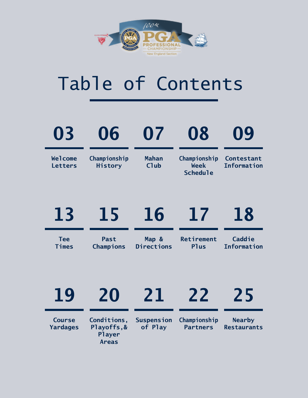

## Table of Contents

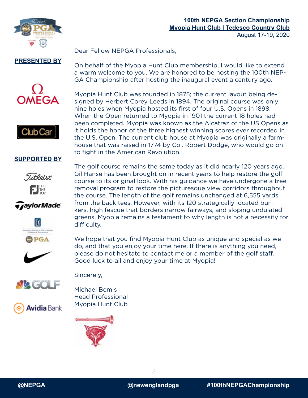

Dear Fellow NEPGA Professionals,

#### **PRESENTED BY**





Myopia Hunt Club was founded in 1875; the current layout being designed by Herbert Corey Leeds in 1894. The original course was only nine holes when Myopia hosted its first of four U.S. Opens in 1898. When the Open returned to Myopia in 1901 the current 18 holes had been completed. Myopia was known as the Alcatraz of the US Opens as it holds the honor of the three highest winning scores ever recorded in the U.S. Open. The current club house at Myopia was originally a farmhouse that was raised in 1774 by Col. Robert Dodge, who would go on to fight in the American Revolution.

On behalf of the Myopia Hunt Club membership, I would like to extend a warm welcome to you. We are honored to be hosting the 100th NEP-

GA Championship after hosting the inaugural event a century ago.

#### **SUPPORTED BY**



*TaylorMade* 











The golf course remains the same today as it did nearly 120 years ago. Gil Hanse has been brought on in recent years to help restore the golf course to its original look. With his guidance we have undergone a tree removal program to restore the picturesque view corridors throughout the course. The length of the golf remains unchanged at 6,555 yards from the back tees. However, with its 120 strategically located bunkers, high fescue that borders narrow fairways, and sloping undulated greens, Myopia remains a testament to why length is not a necessity for difficulty.

We hope that you find Myopia Hunt Club as unique and special as we do, and that you enjoy your time here. If there is anything you need, please do not hesitate to contact me or a member of the golf staff. Good luck to all and enjoy your time at Myopia!

Sincerely,

Michael Bemis Head Professional Myopia Hunt Club

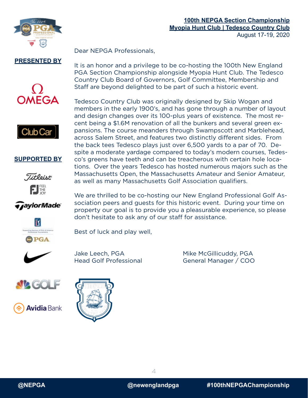

Dear NEPGA Professionals,

**PRESENTED BY**





#### **SUPPORTED BY**



*TaylorMade* 



We are thrilled to be co-hosting our New England Professional Golf Association peers and guests for this historic event. During your time on property our goal is to provide you a pleasurable experience, so please don't hesitate to ask any of our staff for assistance.

as well as many Massachusetts Golf Association qualifiers.

It is an honor and a privilege to be co-hosting the 100th New England PGA Section Championship alongside Myopia Hunt Club. The Tedesco Country Club Board of Governors, Golf Committee, Membership and

Staff are beyond delighted to be part of such a historic event.

Tedesco Country Club was originally designed by Skip Wogan and members in the early 1900's, and has gone through a number of layout and design changes over its 100-plus years of existence. The most recent being a \$1.6M renovation of all the bunkers and several green expansions. The course meanders through Swampscott and Marblehead, across Salem Street, and features two distinctly different sides. From the back tees Tedesco plays just over 6,500 yards to a par of 70. Despite a moderate yardage compared to today's modern courses, Tedesco's greens have teeth and can be treacherous with certain hole locations. Over the years Tedesco has hosted numerous majors such as the Massachusetts Open, the Massachusetts Amateur and Senior Amateur,

Best of luck and play well,









Jake Leech, PGA Mike McGillicuddy, PGA Head Golf Professional General Manager / COO



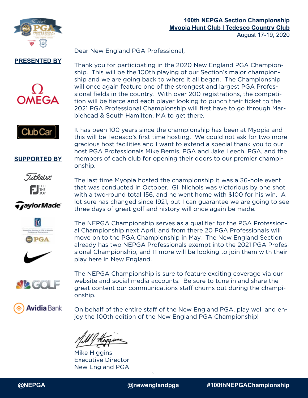

Dear New England PGA Professional,

#### **PRESENTED BY**



Thank you for participating in the 2020 New England PGA Championship. This will be the 100th playing of our Section's major championship and we are going back to where it all began. The Championship will once again feature one of the strongest and largest PGA Professional fields in the country. With over 200 registrations, the competition will be fierce and each player looking to punch their ticket to the 2021 PGA Professional Championship will first have to go through Marblehead & South Hamilton, MA to get there.

Club Car

**SUPPORTED BY**

**Titleint** 

FIFE

*TaylorMade* 

It has been 100 years since the championship has been at Myopia and this will be Tedesco's first time hosting. We could not ask for two more gracious host facilities and I want to extend a special thank you to our host PGA Professionals Mike Bemis, PGA and Jake Leech, PGA, and the members of each club for opening their doors to our premier championship.

The last time Myopia hosted the championship it was a 36-hole event that was conducted in October. Gil Nichols was victorious by one shot with a two-round total 156, and he went home with \$100 for his win. A lot sure has changed since 1921, but I can guarantee we are going to see three days of great golf and history will once again be made.

The NEPGA Championship serves as a qualifier for the PGA Professional Championship next April, and from there 20 PGA Professionals will move on to the PGA Championship in May. The New England Section already has two NEPGA Professionals exempt into the 2021 PGA Professional Championship, and 11 more will be looking to join them with their

**PGA** 







The NEPGA Championship is sure to feature exciting coverage via our website and social media accounts. Be sure to tune in and share the great content our communications staff churns out during the championship.

**Avidia** Bank

On behalf of the entire staff of the New England PGA, play well and enjoy the 100th edition of the New England PGA Championship!

play here in New England.

Mike Higgins Executive Director New England PGA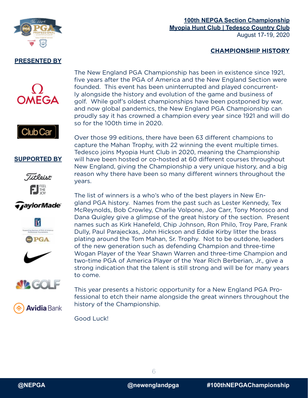

#### **100th NEPGA Section Championship Myopia Hunt Club | Tedesco Country Club** August 17-19, 2020

#### **CHAMPIONSHIP HISTORY**





#### **SUPPORTED BY**



*TaylorMade* 

PGA

Over those 99 editions, there have been 63 different champions to capture the Mahan Trophy, with 22 winning the event multiple times. Tedesco joins Myopia Hunt Club in 2020, meaning the Championship will have been hosted or co-hosted at 60 different courses throughout New England, giving the Championship a very unique history, and a big reason why there have been so many different winners throughout the years.

The New England PGA Championship has been in existence since 1921, five years after the PGA of America and the New England Section were founded. This event has been uninterrupted and played concurrently alongside the history and evolution of the game and business of golf. While golf's oldest championships have been postponed by war, and now global pandemics, the New England PGA Championship can proudly say it has crowned a champion every year since 1921 and will do

The list of winners is a who's who of the best players in New England PGA history. Names from the past such as Lester Kennedy, Tex McReynolds, Bob Crowley, Charlie Volpone, Joe Carr, Tony Morosco and Dana Quigley give a glimpse of the great history of the section. Present names such as Kirk Hanefeld, Chip Johnson, Ron Philo, Troy Pare, Frank Dully, Paul Parajeckas, John Hickson and Eddie Kirby litter the brass plating around the Tom Mahan, Sr. Trophy. Not to be outdone, leaders of the new generation such as defending Champion and three-time Wogan Player of the Year Shawn Warren and three-time Champion and two-time PGA of America Player of the Year Rich Berberian, Jr., give a strong indication that the talent is still strong and will be for many years to come.

This year presents a historic opportunity for a New England PGA Professional to etch their name alongside the great winners throughout the history of the Championship.

Good Luck!

so for the 100th time in 2020.



**Avidia** Bank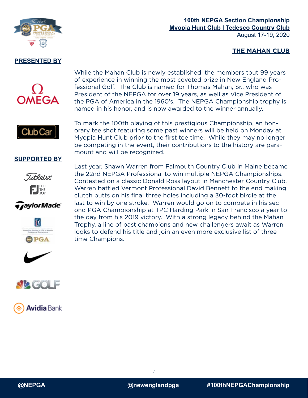

#### **100th NEPGA Section Championship Myopia Hunt Club | Tedesco Country Club** August 17-19, 2020

#### **THE MAHAN CLUB**





While the Mahan Club is newly established, the members tout 99 years of experience in winning the most coveted prize in New England Professional Golf. The Club is named for Thomas Mahan, Sr., who was President of the NEPGA for over 19 years, as well as Vice President of the PGA of America in the 1960's. The NEPGA Championship trophy is named in his honor, and is now awarded to the winner annually.

To mark the 100th playing of this prestigious Championship, an honorary tee shot featuring some past winners will be held on Monday at Myopia Hunt Club prior to the first tee time. While they may no longer be competing in the event, their contributions to the history are paramount and will be recognized.

#### **SUPPORTED BY**



*GaylorMade* 

lΪY

PGA

Last year, Shawn Warren from Falmouth Country Club in Maine became the 22nd NEPGA Professional to win multiple NEPGA Championships. Contested on a classic Donald Ross layout in Manchester Country Club, Warren battled Vermont Professional David Bennett to the end making clutch putts on his final three holes including a 30-foot birdie at the last to win by one stroke. Warren would go on to compete in his second PGA Championship at TPC Harding Park in San Francisco a year to the day from his 2019 victory. With a strong legacy behind the Mahan Trophy, a line of past champions and new challengers await as Warren looks to defend his title and join an even more exclusive list of three time Champions.







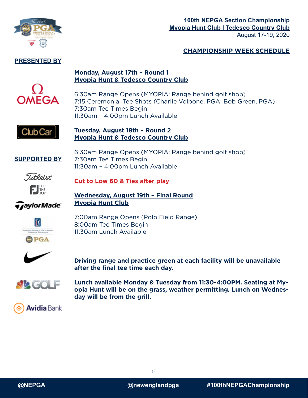

#### **100th NEPGA Section Championship Myopia Hunt Club | Tedesco Country Club** August 17-19, 2020

#### **CHAMPIONSHIP WEEK SCHEDULE**

#### **Monday, August 17th – Round 1 Myopia Hunt & Tedesco Country Club**



6:30am Range Opens (MYOPIA: Range behind golf shop) 7:15 Ceremonial Tee Shots (Charlie Volpone, PGA; Bob Green, PGA) 7:30am Tee Times Begin 11:30am – 4:00pm Lunch Available



#### **Tuesday, August 18th – Round 2 Myopia Hunt & Tedesco Country Club**

**SUPPORTED BY**

6:30am Range Opens (MYOPIA: Range behind golf shop) 7:30am Tee Times Begin 11:30am – 4:00pm Lunch Available



**Cut to Low 60 & Ties after play**

*TaylorMade* 

**Wednesday, August 19th – Final Round Myopia Hunt Club**



7:00am Range Opens (Polo Field Range) 8:00am Tee Times Begin 11:30am Lunch Available



**Driving range and practice green at each facility will be unavailable after the final tee time each day.**



**Lunch available Monday & Tuesday from 11:30-4:00PM. Seating at Myopia Hunt will be on the grass, weather permitting. Lunch on Wednesday will be from the grill.**

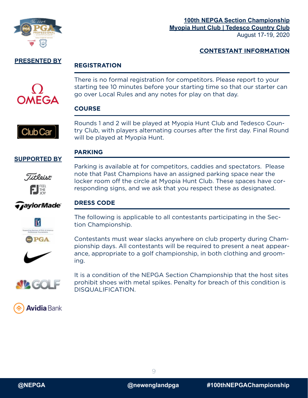

#### **CONTESTANT INFORMATION**

#### **PRESENTED BY**

#### **REGISTRATION**



There is no formal registration for competitors. Please report to your starting tee 10 minutes before your starting time so that our starter can go over Local Rules and any notes for play on that day.

#### **COURSE**

**PARKING**



Rounds 1 and 2 will be played at Myopia Hunt Club and Tedesco Country Club, with players alternating courses after the first day. Final Round will be played at Myopia Hunt.

#### **SUPPORTED BY**



*TaylorMade* 

Parking is available at for competitors, caddies and spectators. Please note that Past Champions have an assigned parking space near the locker room off the circle at Myopia Hunt Club. These spaces have corresponding signs, and we ask that you respect these as designated.

#### **DRESS CODE**



The following is applicable to all contestants participating in the Section Championship.

Contestants must wear slacks anywhere on club property during Championship days. All contestants will be required to present a neat appearance, appropriate to a golf championship, in both clothing and grooming.



It is a condition of the NEPGA Section Championship that the host sites prohibit shoes with metal spikes. Penalty for breach of this condition is DISQUALIFICATION.



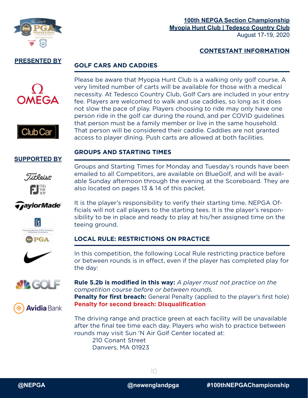

#### **CONTESTANT INFORMATION**

#### **PRESENTED BY**

#### **GOLF CARS AND CADDIES**





Please be aware that Myopia Hunt Club is a walking only golf course. A very limited number of carts will be available for those with a medical necessity. At Tedesco Country Club, Golf Cars are included in your entry fee. Players are welcomed to walk and use caddies, so long as it does not slow the pace of play. Players choosing to ride may only have one person ride in the golf car during the round, and per COVID guidelines that person must be a family member or live in the same household. That person will be considered their caddie. Caddies are not granted access to player dining. Push carts are allowed at both facilities.

#### **GROUPS AND STARTING TIMES**

#### **SUPPORTED BY**



Groups and Starting Times for Monday and Tuesday's rounds have been emailed to all Competitors, are available on BlueGolf, and will be available Sunday afternoon through the evening at the Scoreboard. They are also located on pages 13 & 14 of this packet.

It is the player's responsibility to verify their starting time. NEPGA Officials will not call players to the starting tees. It is the player's responsibility to be in place and ready to play at his/her assigned time on the

*TaylorMade* 







teeing ground.

#### In this competition, the following Local Rule restricting practice before or between rounds is in effect, even if the player has completed play for the day:



**Rule 5.2b is modified in this way:** *A player must not practice on the competition course before or between rounds.* **Penalty for first breach:** General Penalty (applied to the player's first hole) **Penalty for second breach: Disqualification**

The driving range and practice green at each facility will be unavailable after the final tee time each day. Players who wish to practice between rounds may visit Sun 'N Air Golf Center located at: 210 Conant Street Danvers, MA 01923



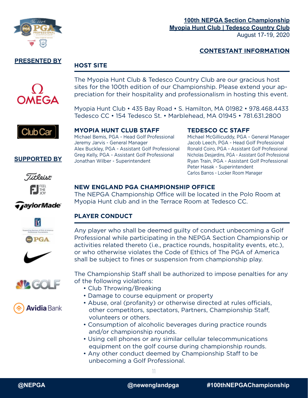

#### **CONTESTANT INFORMATION**

#### **PRESENTED BY**

#### **HOST SITE**



The Myopia Hunt Club & Tedesco Country Club are our gracious host sites for the 100th edition of our Championship. Please extend your appreciation for their hospitality and professionalism in hosting this event.

Myopia Hunt Club • 435 Bay Road • S. Hamilton, MA 01982 • 978.468.4433 Tedesco CC • 154 Tedesco St. • Marblehead, MA 01945 • 781.631.2800



**MYOPIA HUNT CLUB STAFF TEDESCO CC STAFF**

Jeremy Jarvis - General Manager Jacob Leech, PGA - Head Golf Professional Alex Buckley, PGA - Assistant Golf Professional Ronald Coiro, PGA - Assistant Golf Professional Greg Kelly, PGA - Assistant Golf Professional Nicholas Desjardins, PGA - Assistant Golf Professional Jonathan Wilber - Superintendent Ryan Train, PGA - Assistant Golf Professional

Michael Bemis, PGA - Head Golf Professional Michael McGillicuddy, PGA - General Manager Peter Hasak - Superintendent Carlos Barros - Locker Room Manager



**SUPPORTED BY**

#### **NEW ENGLAND PGA CHAMPIONSHIP OFFICE**

The NEPGA Championship Office will be located in the Polo Room at Myopia Hunt club and in the Terrace Room at Tedesco CC.

#### **PLAYER CONDUCT**

Any player who shall be deemed guilty of conduct unbecoming a Golf Professional while participating in the NEPGA Section Championship or activities related thereto (i.e., practice rounds, hospitality events, etc.), or who otherwise violates the Code of Ethics of The PGA of America shall be subject to fines or suspension from championship play.

The Championship Staff shall be authorized to impose penalties for any of the following violations:

- Club Throwing/Breaking
- Damage to course equipment or property
- Abuse, oral (profanity) or otherwise directed at rules officials, other competitors, spectators, Partners, Championship Staff, volunteers or others.
- Consumption of alcoholic beverages during practice rounds and/or championship rounds.
- Using cell phones or any similar cellular telecommunications equipment on the golf course during championship rounds.
- Any other conduct deemed by Championship Staff to be unbecoming a Golf Professional.

*TaylorMade* 







**Avidia** Bank

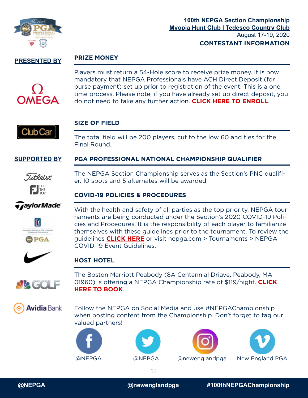

#### **PRIZE MONEY**



Players must return a 54-Hole score to receive prize money. It is now mandatory that NEPGA Professionals have ACH Direct Deposit (for purse payment) set up prior to registration of the event. This is a one time process. Please note, if you have already set up direct deposit, you do not need to take any further action. **[CLICK HERE TO ENROLL](https://app.signnow.com/webapp/document/fb3103a499c522a1113d3008e2da23b2a295211f?dispatched=true&mobileweb=app_or_mobileweb_choice&redirect_uri=https%253A%252F%252Fapp.signnow.com%252Fhtml%252Fthanks-for-signing%253Fdocument_id%253Dfb3103a499c522a1113d3008e2da23b2a295211f%2526access_token%253Df08dcf4438413879fb9959be0500fac011d59da6c42699e58039fd36e1610017)**.



#### **SIZE OF FIELD**

The total field will be 200 players, cut to the low 60 and ties for the Final Round.

#### **SUPPORTED BY PGA PROFESSIONAL NATIONAL CHAMPIONSHIP QUALIFIER**



The NEPGA Section Championship serves as the Section's PNC qualifier. 10 spots and 5 alternates will be awarded.

#### **COVID-19 POLICIES & PROCEDURES**

*TaylorMade* 



With the health and safety of all parties as the top priority, NEPGA tournaments are being conducted under the Section's 2020 COVID-19 Policies and Procedures. It is the responsibility of each player to familiarize themselves with these guidelines prior to the tournament. To review the guidelines **[CLICK HERE](http://nepga.com/wp-content/uploads/sites/27/2020/08/8.5.20-NEPGA-Tournament-Ops-Protocols.pdf)** or visit nepga.com > Tournaments > NEPGA COVID-19 Event Guidelines.



#### **HOST HOTEL**



The Boston Marriott Peabody (8A Centennial Driave, Peabody, MA 01960) is offering a NEPGA Championship rate of \$119/night. **[CLICK](https://www.marriott.com/event-reservations/reservation-link.mi?id=1596666503333&key=GRP&app=resvlink)  [HERE TO BOOK](https://www.marriott.com/event-reservations/reservation-link.mi?id=1596666503333&key=GRP&app=resvlink)**.

**Avidia** Bank

Follow the NEPGA on Social Media and use #NEPGAChampionship when posting content from the Championship. Don't forget to tag our valued partners!









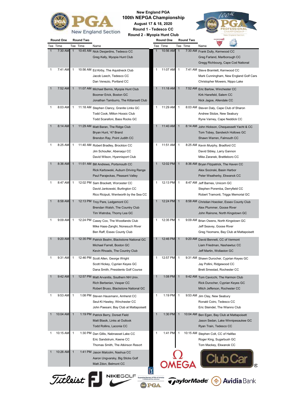

**New England PGA 100th NEPGA Championship**

> **August 17 & 18, 2020 Round 1 - Tedesco CC**

**Round 2 - Myopia Hunt Club**



| Round One    |                  | <b>Round Two</b> |          |                                                                                                                    |                                                                     | Round One |                | <b>Round Two</b>         |                                                                                                                 |
|--------------|------------------|------------------|----------|--------------------------------------------------------------------------------------------------------------------|---------------------------------------------------------------------|-----------|----------------|--------------------------|-----------------------------------------------------------------------------------------------------------------|
|              | Tee Time         |                  | Tee Time | Name                                                                                                               |                                                                     | Tee Time  |                | Tee Time                 | Name                                                                                                            |
| $\mathbf{1}$ | 7:30 AM          | $\mathbf{1}$     |          | 10:45 AM Nick Desjardins, Tedesco CC<br>Greg Kelly, Myopia Hunt Club                                               | $\mathbf{1}$                                                        | 10:56 AM  | $\overline{1}$ |                          | 7:30 AM Frank Dully, Kernwood CC<br>Greg Farland, Marlborough CC<br>Gregg Richbourg, Cape Cod National          |
| 1            | 7:41 AM          | 1                |          | 10:56 AM Ed Kirby, The Aquidneck Club<br>Jacob Leech, Tedesco CC<br>Dan Venezio, Portland CC                       | 1                                                                   | 11:07 AM  | $\mathbf{1}$   |                          | 7:41 AM Steve Bramlett, Kernwood CC<br>Mark Cunningham, New England Golf Cars<br>Christopher Mowers, Nippo Lake |
| $\mathbf 1$  | 7:52 AM          | 1                |          | 11:07 AM Michael Bemis, Myopia Hunt Club<br>Boomer Erick, Boston GC<br>Jonathan Tamburro, The Kittansett Club      | $\mathbf{1}$                                                        | 11:18 AM  | $\overline{1}$ |                          | 7:52 AM Eric Barlow, Winchester CC<br>Kirk Hanefeld, Salem CC<br>Nick Jagoe, Allendale CC                       |
| 1            | 8:03 AM          | 1                |          | 11:18 AM Stephen Clancy, Granite Links GC<br><b>Todd Cook, Milton Hoosic Club</b><br>Todd Scarafoni, Bass Rocks GC | 1                                                                   | 11:29 AM  | $\mathbf{1}$   |                          | 8:03 AM Steven Daly, Cape Club of Sharon<br>Andrew Stolze, New Seabury<br>Ryne Varney, Cape Neddick CC          |
| 1            | 8:14 AM          | $\mathbf{1}$     |          | 11:29 AM Matt Baran, The Ridge Club<br>Bryan Hunt, '47 Brand<br>Brendon Ray, Point Judith CC                       | $\mathbf{1}$                                                        | 11:40 AM  | $\mathbf{1}$   | 8:14 AM                  | John Hickson, Chequessett Yacht & CC<br>Tom Tobey, Sandwich Hollows GC<br>Shawn Warren, Falmouth CC             |
| 1            | 8:25 AM          | 1                |          | 11:40 AM Robert Bradley, Brockton CC<br>Jim Schouller, Abenaqui CC<br>David Wilson, Hyannisport Club               | 1                                                                   | 11:51 AM  | $\overline{1}$ |                          | 8:25 AM Kevin Murphy, Bradford CC<br>David Sibley, Larry Gannon<br>Mike Zaranek, Brattleboro CC                 |
| 1            | 8:36 AM          | $\mathbf{1}$     |          | 11:51 AM Bill Andrews, Portsmouth CC<br>Rick Karbowski, Auburn Driving Range<br>Paul Parajeckas, Pleasant Valley   |                                                                     | 12:02 PM  | $\overline{1}$ |                          | 8:36 AM Bryan Fitzpatrick, The Haven CC<br>Alex Socinski, Basin Harbor<br>Peter Weatherby, Ekwanok CC           |
| 1            | 8:47 AM          | 1                |          | 12:02 PM Sam Brackett, Worcester CC<br>David Jankowski, Burlington CC<br>Rico Riciputi, Wentworth by the Sea CC    | 1                                                                   | 12:13 PM  | $\mathbf{1}$   |                          | 8:47 AM Jeff Barnes, Unicorn GC<br>Stephen Poremba, Derryfield CC<br>Robert Tramonti, Triggs Memorial GC        |
| 1            | 8:58 AM          | $\mathbf 1$      |          | 12:13 PM Troy Pare, Ledgemont CC<br>Brendan Walsh, The Country Club<br>Tim Watroba, Thorny Lea GC                  | $\mathbf{1}$                                                        | 12:24 PM  | $\mathbf{1}$   |                          | 8:58 AM Christian Hoecker, Essex County Club<br>Alex Plummer, Goose River<br>John Rainone, North Kingstown GC   |
| 1            | 9:09 AM          | 1                |          | 12:24 PM Casey Cox, The Woodlands Club<br>Mike Haas-Zanghi, Nonesuch River<br>Ben Raff, Essex County Club          | 1                                                                   | 12:35 PM  | $\mathbf{1}$   |                          | 9:09 AM Brian Owens, North Kingstown GC<br>Jeff Seavey, Goose River<br>Greg Yeomans, Bay Club at Mattapoisett   |
| $\mathbf 1$  | 9:20 AM          | $\mathbf{1}$     |          | 12:35 PM Patrick Beahn, Blackstone National GC<br>Michael Farrell, Boston GC<br>Kevin Rhoads, The Country Club     | $\mathbf{1}$                                                        | 12:46 PM  | $\overline{1}$ |                          | 9:20 AM David Bennett, CC of Vermont<br>Liam Friedman, Nashawtuc CC<br>Jeff Martin, Wollaston GC                |
| 1            | 9:31 AM          | 1                |          | 12:46 PM Scott Allen, George Wright<br>Scott Hickey, Cyprian Keyes GC<br>Dana Smith, Presidents Golf Course        | 1                                                                   | 12:57 PM  | $\mathbf{1}$   |                          | 9:31 AM Shawn Durocher, Cyprian Keyes GC<br>Jay Pollini, Ridgewood CC<br>Brett Smestad, Rochester CC            |
| 1            | 9:42 AM          | $\mathbf 1$      |          | 12:57 PM Matt Arvanitis, Southern NH Univ.<br>Rich Berberian, Vesper CC<br>Robert Bruso, Blackstone National GC    | 1                                                                   | 1:08 PM   | $\mathbf{1}$   |                          | 9:42 AM Tom Cavicchi, The Harmon Club<br>Rick Durocher, Cyprian Keyes GC<br>Mitch Jefferson, Rochester CC       |
| 1            | 9:53 AM          | 1                |          | 1:08 PM Steven Hausmann, Amherst CC<br>Seul-Ki Hawley, Winchester CC<br>John Paesani, Bay Club at Mattapoisett     | 1                                                                   | 1:19 PM   | $\mathbf{1}$   | 9:53 AM                  | Jim Clay, New Seabury<br>Ronald Coiro, Tedesco CC<br>Eric Steindel, The Wianno Club                             |
|              | 10:04 AM         | $\mathbf{1}$     |          | 1:19 PM Patrick Berry, Dorset Field<br>Matt Blasik, Links at Outlook<br>Todd Rollins, Laconia CC                   | $\mathbf{1}$                                                        | 1:30 PM   | $\mathbf{1}$   | 10:04 AM                 | Ben Egan, Bay Club at Mattapoisett<br>Jason Sedan, Lake Winnipesaukee GC<br>Ryan Train, Tedesco CC              |
| 1            | 10:15 AM         | 1                |          | 1:30 PM Dan Gillis, Nabnasset Lake CC<br>Eric Sandstrum, Keene CC<br>Thomas Smith, The Atkinson Resort             | 1                                                                   | 1:41 PM   | $\overline{1}$ |                          | 10:15 AM Stephen Colt, CC of Halifax<br>Roger King, Sugarbush GC<br>Tom Mackey, Ekwanok CC                      |
| 1            | 10:26 AM         | 1                |          | 1:41 PM Jason Malcolm, Nashua CC<br>Aaron Ungvarsky, Big Sticks Golf<br>Matt Zdon, Belmont CC                      |                                                                     |           |                |                          |                                                                                                                 |
|              | Titleist $\vert$ |                  |          | <b>NIKEGOLF</b>                                                                                                    | orting Sponsor of PGA of America<br>Professional Tournaments<br>PGA |           |                | <i><b>TaylorMade</b></i> | <b>Avidia Bank</b>                                                                                              |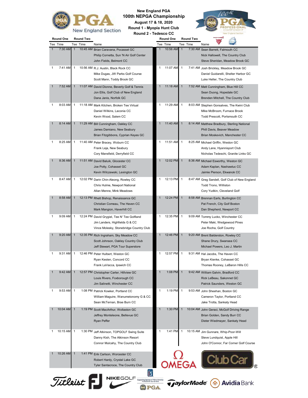

**New England PGA 100th NEPGA Championship August 17 & 18, 2020**

**Round 1 - Myopia Hunt Club**

| Tee Time   |              | Tee Time | Name                                        | Tee Time   |  | Tee Time | Name                              |                                        |  |
|------------|--------------|----------|---------------------------------------------|------------|--|----------|-----------------------------------|----------------------------------------|--|
| $7:30$ AM  | $\mathbf{1}$ |          | 10:45 AM Brian Caravana, Pocasset GC        | 10:56 AM   |  |          | 7:30 AM Sean Barrett, Falmouth CC |                                        |  |
|            |              |          | Philip Cornetta, Sun 'N Air Golf Center     |            |  |          |                                   | Nick Hallowell, The Country Club       |  |
|            |              |          | John Fields, Belmont CC                     |            |  |          |                                   | Steve Sheridan, Meadow Brook G         |  |
| 7:41 AM    |              |          | 10:56 AM R.J. Austin, Black Rock CC         | 11:07 AM   |  |          |                                   | 7:41 AM Josh Brickley, Meadow Brook GC |  |
|            |              |          | Mike Dugas, JW Parks Golf Course            |            |  |          |                                   | Daniel Guidarelli, Shelter Harbor (    |  |
|            |              |          | Scott Mann, Toddy Brook GC                  |            |  |          | Luke Heller, The Country Club     |                                        |  |
| $7:52$ AMI |              |          | 11:07 AM David Dionne Beverly Golf & Tennis | $11:18$ AM |  |          |                                   | 7:52 AM Matt Cunningham Blue Hill CC   |  |



| 1 | 7:52 AM  | $\mathbf{1}$   |          | 11:07 AM David Dionne, Beverly Golf & Tennis<br>Jon Ellis, Golf Club of New England<br>Dana Janis, Norfolk GC            | $\mathbf{1}$ | 11:18 AM | $\mathbf{1}$   |          | 7:52 AM Matt Cunningham, Blue Hill CC<br>Sean Duong, Hopedale GC<br>Brenden Mitchell, The Country Club       |
|---|----------|----------------|----------|--------------------------------------------------------------------------------------------------------------------------|--------------|----------|----------------|----------|--------------------------------------------------------------------------------------------------------------|
| 1 | 8:03 AM  | 1              |          | 11:18 AM Mark Kitchen, Broken Tee Virtual<br>Daniel Wilkins, Laconia CC<br>Kevin Wood, Salem CC                          | 1            | 11:29 AM | 1              |          | 8:03 AM Stephen Gonsalves, The Kwini Club<br>Mike McBroom, Furnace Brook<br>Todd Prescott, Portsmouth CC     |
|   | 8:14 AM  | $\mathbf 1$    |          | 11:29 AM Bill Cunningham, Oakley CC<br>James Damiano, New Seabury<br>Brian Fitzgibbons, Cyprian Keyes GC                 | 1            | 11:40 AM | $\mathbf{1}$   |          | 8:14 AM Matthew Bradbury, Sterling National<br>Phill Davis, Beaver Meadow<br>Brian Moskevich, Manchester CC  |
| 1 | 8:25 AM  | 1              | 11:40 AM | Peter Bracey, Woburn CC<br>Frank Leja, New Seabury<br>Cory Mansfield, Derryfield CC                                      | 1            | 11:51 AM | 1              | 8:25 AM  | Michael Griffin, Weston GC<br>Andy Lane, Hyannisport Club<br>Nicholas Tedeschi, Granite Links GC             |
|   | 8:36 AM  | $\mathbf{1}$   |          | 11:51 AM David Baluik, Glocester CC<br>Joe Potty, Cohasset GC<br>Kevin Wilczewski, Lexington GC                          | 1            | 12:02 PM | $\mathbf{1}$   |          | 8:36 AM Michael Esworthy, Weston GC<br>Adam Kaplan, Nashawtuc CC<br>Jaimie Pierson, Ekwanok CC               |
| 1 | 8:47 AM  | 1              |          | 12:02 PM Darin Chin-Aleong, Rowley CC<br>Chris Hulme, Newport National<br>Allan Menne, Mink Meadows                      | 1            | 12:13 PM | 1              |          | 8:47 AM Greg Sandell, Golf Club of New England<br>Todd Trono, Williston<br>Cory Yudkin, Cleveland Golf       |
| 1 | 8:58 AM  | $\mathbf{1}$   |          | 12:13 PM Rhett Bishop, Renaissance GC<br>Christian Comeau, The Haven CC<br>Mark Mangion, Haverhill CC                    | 1            | 12:24 PM | $\mathbf{1}$   | 8:58 AM  | Brennan Earls, Burlington CC<br>Pat French, City Golf Boston<br>Dan Shepherd, Newport CC                     |
| 1 | 9:09 AM  | 1              |          | 12:24 PM David Grygiel, Tee N' Tee Golfland<br>Jim Landers, Highfields G & CC<br>Vince Molesky, Stonebridge Country Club | 1            | 12:35 PM | 1              |          | 9:09 AM Tommy Lucko, Winchester CC<br>Peter Maki, Wedgewood Pines<br>Joe Rocha, Golf Country                 |
| 1 | 9:20 AM  | 1              |          | 12:35 PM Rich Ingraham, Sky Meadow CC<br>Scott Johnson, Oakley Country Club<br>Jeff Stewart, PGA Tour Superstore         | 1            | 12:46 PM | $\mathbf{1}$   |          | 9:20 AM Brent Balderston, Rowley CC<br>Shane Drury, Swansea CC<br>Michael Powers, Leo J. Martin              |
| 1 | 9:31 AM  | 1              |          | 12:46 PM Peter Hulbert, Weston GC<br>Ryan Kesten, Concord CC<br>Frank LaVacca, Ipswich CC                                | 1            | 12:57 PM | 1              |          | 9:31 AM Hal Jacobs, The Haven CC<br>Bryan Kienke, Cohasset GC<br>Thomas Rooney, LeBaron Hills CC             |
| 1 | 9:42 AM  | $\mathbf{1}$   |          | 12:57 PM Christopher Carter, Hillview GC<br>Louis Rivers, Foxborough CC<br>Jim Salinetti, Winchester CC                  | 1            | 1:08 PM  | $\mathbf{1}$   |          | 9:42 AM William Galvin, Bradford CC<br>Rick LeBeau, Sakonnet GC<br>Patrick Saunders, Weston GC               |
| 1 | 9:53 AM  | 1              |          | 1:08 PM Patrick Kowker, Portland CC<br>William Maguire, Wanumetonomy G & CC<br>Sean McTernan, Brae Burn CC               | 1            | 1:19 PM  | 1              |          | 9:53 AM John Sheehan, Boston GC<br>Cameron Taylor, Portland CC<br>Jake Trotta, Sankaty Head                  |
|   | 10:04 AM | $\overline{A}$ | 1:19 PM  | Scott MacArthur, Wollaston GC<br>Jeffrey Monteleone, Bellevue GC<br><b>Ryan Peffer</b>                                   |              | 1:30 PM  | $\overline{1}$ | 10:04 AM | John Geraci, McGolf Driving Range<br>Brian Golden, Sandy Burr CC<br>Dieter Wiedmayer, Sankaty Head           |
| 1 | 10:15 AM | 1              |          | 1:30 PM Jeff Atkinson, TOPGOLF Swing Suite<br>Danny Kish, The Atkinson Resort<br>Connor Mulcahy, The Country Club        | 1            | 1:41 PM  | 1              |          | 10:15 AM Jim Gunnare, Whip-Poor-Will<br>Steve Lundquist, Apple Hill<br>John O'Connor, Far Corner Golf Course |
|   | 10:26 AM | $\mathbf{1}$   |          | 1:41 PM Erik Carlson, Worcester CC<br>Robert Hardy, Crystal Lake GC<br>Tyler Santacroce, The Country Club                |              |          |                | EGA      |                                                                                                              |

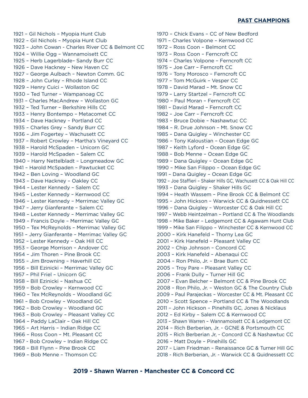#### **PAST CHAMPIONS**

1921 – Gil Nichols – Myopia Hunt Club 1922 – Gil Nichols – Myopia Hunt Club 1923 – John Cowan - Charles River CC & Belmont CC 1924 – Willie Ogg – Wannamoisett CC 1925 – Herb Lagerblade– Sandy Burr CC 1926 – Dave Hackney – New Haven CC 1927 – George Aulbach – Newton Comm. GC 1928 – John Curley – Rhode Island CC 1929 – Henry Cuici – Wollaston GC 1930 – Ted Turner – Wampanoag CC 1931 – Charles MacAndrew – Wollaston GC 1932 – Ted Turner – Berkshire Hills CC 1933 – Henry Bontempo – Metacomet CC 1934 – Dave Hackney – Portland CC 1935 – Charles Grey – Sandy Burr CC 1936 – Jim Fogertey – Wachusett CC 1937 – Robert Crowley – Martha's Vineyard CC 1938 – Harold McSpaden – Unicorn GC 1939 – Harold McSpaden – Salem CC 1940 – Harry Nettelbladt – Longmeadow GC 1941 – Harold McSpaden – Pawtucket CC 1942 – Ben Loving – Woodland GC 1943 – Dave Hackney – Oakley CC 1944 – Lester Kennedy – Salem CC 1945 – Lester Kennedy – Kernwood CC 1946 – Lester Kennedy – Merrimac Valley GC 1947 – Jerry Gianferante – Salem CC 1948 – Lester Kennedy – Merrimac Valley GC 1949 – Francis Doyle – Merrimac Valley GC 1950 – Tex McReynolds – Merrimac Valley GC 1951 – Jerry Gianferante – Merrimac Valley GC 1952 – Lester Kennedy – Oak Hill CC 1953 – George Morrison – Andover CC 1954 – Jim Thoren – Pine Brook CC 1955 – Jim Browning – Haverhill CC 1956 – Bill Ezinicki – Merrimac Valley GC 1957 – Phil Friel – Unicorn GC 1958 – Bill Ezinicki – Nashua CC 1959 – Bob Crowley – Kernwood CC 1960 – Tex McReynolds – Woodland GC 1961 – Bob Crowley – Woodland GC 1962 – Bob Crowley – Woodland GC 1963 – Bob Crowley – Pleasant Valley CC 1964 – Paddy LaClair – Oak Hill CC 1965 – Art Harris – Indian Ridge CC 1966 – Ross Coon – Mt. Pleasant CC 1967 - Bob Crowley – Indian Ridge CC 1968 – Bill Flynn – Pine Brook CC 1969 – Bob Menne – Thomson CC

1970 – Chick Evans – CC of New Bedford 1971 – Charles Volpone – Kernwood CC 1972 – Ross Coon – Belmont CC 1973 – Ross Coon – Ferncroft CC 1974 – Charles Volpone – Ferncroft CC 1975 – Joe Carr – Ferncroft CC 1976 – Tony Morosco – Ferncroft CC 1977 – Tom McGuirk – Vesper CC 1978 – David Marad – Mt. Snow CC 1979 – Larry Startzel – Ferncroft CC 1980 – Paul Moran – Ferncroft CC 1981 – David Marad – Ferncroft CC 1982 – Joe Carr – Ferncroft CC 1983 – Bruce Dobie – Nashawtuc CC 1984 – R. Drue Johnson – Mt. Snow CC 1985 – Dana Quigley – Winchester CC 1986 – Tony Kaloustian – Ocean Edge GC 1987 – Keith Lyford – Ocean Edge GC 1988 – Bob Menne – Ocean Edge GC 1989 – Dana Quigley – Ocean Edge GC 1990 – Mike San Filippo – Ocean Edge GC 1991 – Dana Quigley – Ocean Edge GC 1992 – Joe Staffieri – Shaker Hills GC, Wachusett CC & Oak Hill CC 1993 – Dana Quigley – Shaker Hills GC 1994 – Heath Wassem – Pine Brook CC & Belmont CC 1995 – John Hickson – Warwick CC & Quidnessett CC 1996 – Dana Quigley – Worcester CC & Oak Hill CC 1997 – Webb Heintzelman – Portland CC & The Woodlands 1998 – Mike Baker – Ledgemont CC & Agawam Hunt Club 1999 – Mike San Filippo – Winchester CC & Kernwood CC 2000 – Kirk Hanefeld – Thorny Lea GC 2001 – Kirk Hanefeld – Pleasant Valley CC 2002 – Chip Johnson – Concord CC 2003 – Kirk Hanefeld – Abenaqui CC 2004 – Ron Philo, Jr. – Brae Burn CC 2005 – Troy Pare – Pleasant Valley CC 2006 – Frank Dully – Turner Hill GC 2007 – Evan Belcher – Belmont CC & Pine Brook CC 2008 – Ron Philo, Jr. – Weston GC & The Country Club 2009 – Paul Parajeckas – Worcester CC & Mt. Pleasant CC 2010 – Scott Spence – Portland CC & The Woodlands 2011 – John Hickson – Pinehills GC, Jones & Nicklaus 2012 – Ed Kirby – Salem CC & Kernwood CC 2013 – Shawn Warren – Wannamoisett CC & Ledgemont CC 2014 – Rich Berberian, Jr. - GCNE & Portsmouth CC 2015 – Rich Berberian Jr, - Concord CC & Nashawtuc CC 2016 – Matt Doyle – Pinehills GC 2017 – Liam Friedman – Renaissance GC & Turner Hill GC 2018 - Rich Berberian, Jr. - Warwick CC & Quidnessett CC

#### **2019 - Shawn Warren - Manchester CC & Concord CC**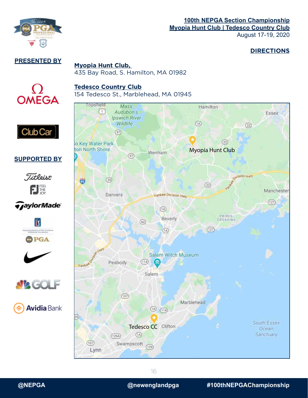

#### **DIRECTIONS**

**PRESENTED BY**

 $\Omega$ OMEGA

**SUPPORTED BY**

. Titleist

FJL

*TaylorMade* 

lΪ

PGA

 $\int$  Club Car  $\vert$ 

#### **Myopia Hunt Club,**  435 Bay Road, S. Hamilton, MA 01982

#### **Tedesco Country Club**

154 Tedesco St., Marblehead, MA 01945





 $\mathcal{D}$  (F)

**Avidia** Bank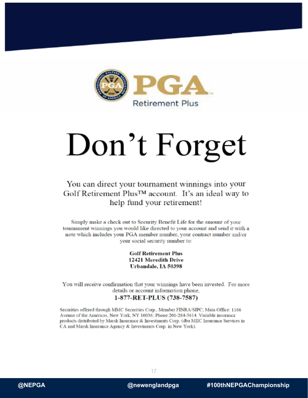

**Myopia Hunt Club | Tedesco Country Club**

August 17-19, 2020

# Don't Forget

#### You can direct your tournament winnings into your Golf Retirement Plus<sup>™</sup> account. It's an ideal way to help fund your retirement!

Simply make a check out to Security Benefit Life for the amount of your tournament winnings you would like directed to your account and send it with a note which includes your PGA member number, your contract number and/or your social security number to:

> **Golf Retirement Plus** 12421 Meredith Drive Urbandale, IA 50398

You will receive confirmation that your winnings have been invested. For more details or account information phone,

#### 1-877-RET-PLUS (738-7587)

Securities offered through MMC Securities Corp., Member FINRA/SIPC; Main Office: 1166 Avenue of the Americas, New York, NY 10036; Phone:201-284-3614. Variable insurance products distributed by Marsh Insurance & Investments Corp. (dba MIIC Insurance Services in CA and Marsh Insurance Agency & Investments Corp. in New York).



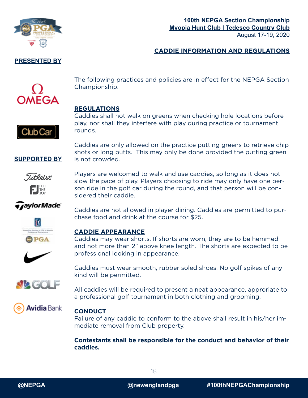

#### **100th NEPGA Section Championship Myopia Hunt Club | Tedesco Country Club** August 17-19, 2020

#### **CADDIE INFORMATION AND REGULATIONS**



The following practices and policies are in effect for the NEPGA Section Championship.

#### **REGULATIONS**

Club Car

Caddies shall not walk on greens when checking hole locations before play, nor shall they interfere with play during practice or tournament rounds.

Caddies are only allowed on the practice putting greens to retrieve chip shots or long putts. This may only be done provided the putting green is not crowded.

Titloint FIEL

**SUPPORTED BY**

Players are welcomed to walk and use caddies, so long as it does not slow the pace of play. Players choosing to ride may only have one person ride in the golf car during the round, and that person will be considered their caddie.

chase food and drink at the course for \$25.

#### *TaylorMade*



#### **CADDIE APPEARANCE**

Caddies may wear shorts. If shorts are worn, they are to be hemmed and not more than 2" above knee length. The shorts are expected to be professional looking in appearance.

Caddies are not allowed in player dining. Caddies are permitted to pur-



Caddies must wear smooth, rubber soled shoes. No golf spikes of any kind will be permitted.

All caddies will be required to present a neat appearance, approriate to a professional golf tournament in both clothing and grooming.



#### **CONDUCT**

Failure of any caddie to conform to the above shall result in his/her immediate removal from Club property.

**Contestants shall be responsible for the conduct and behavior of their caddies.**



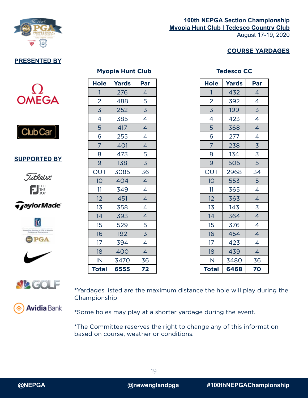

#### **100th NEPGA Section Championship Myopia Hunt Club | Tedesco Country Club** August 17-19, 2020

#### **COURSE YARDAGES**

#### **Myopia Hunt Club Tedesco CC**





**SUPPORTED BY**











| <b>Hole</b>              | Yards | Par            |  |  |  |
|--------------------------|-------|----------------|--|--|--|
| 1                        | 432   | 4              |  |  |  |
| $\overline{2}$           | 392   | 4              |  |  |  |
| $\overline{3}$           | 199   | $\overline{3}$ |  |  |  |
| $\overline{\mathcal{A}}$ | 423   | 4              |  |  |  |
| 5                        | 368   | $\overline{4}$ |  |  |  |
| 6                        | 277   | 4              |  |  |  |
| $\overline{7}$           | 238   | $\overline{3}$ |  |  |  |
| 8                        | 134   | $\overline{3}$ |  |  |  |
| 9                        | 505   | 5              |  |  |  |
| OUT                      | 2968  | 34             |  |  |  |
| 10                       | 553   | 5              |  |  |  |
| 11                       | 365   | 4              |  |  |  |
| 12                       | 363   | $\overline{4}$ |  |  |  |
| 13                       | 143   | $\overline{3}$ |  |  |  |
| 14                       | 364   | $\overline{4}$ |  |  |  |
| 15                       | 376   | 4              |  |  |  |
| 16                       | 454   | $\overline{4}$ |  |  |  |
| 17                       | 423   | $\overline{4}$ |  |  |  |
| 18                       | 439   | 4              |  |  |  |
| IN                       | 3480  | 36             |  |  |  |
| <b>Total</b>             | 6468  | 70             |  |  |  |



\*Yardages listed are the maximum distance the hole will play during the Championship

**Avidia** Bank

\*Some holes may play at a shorter yardage during the event.

\*The Committee reserves the right to change any of this information based on course, weather or conditions.

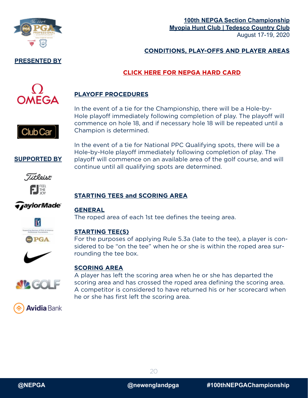

#### **100th NEPGA Section Championship Myopia Hunt Club | Tedesco Country Club** August 17-19, 2020

#### **CONDITIONS, PLAY-OFFS AND PLAYER AREAS**

#### **[CLICK HERE FOR NEPGA HARD CARD](https://nepga.com/wp-content/uploads/sites/27/2020/04/NEPGARulesRegs2020.pdf)**



#### **PLAYOFF PROCEDURES**

In the event of a tie for the Championship, there will be a Hole-by-Hole playoff immediately following completion of play. The playoff will commence on hole 18, and if necessary hole 18 will be repeated until a Champion is determined.

In the event of a tie for National PPC Qualifying spots, there will be a Hole-by-Hole playoff immediately following completion of play. The playoff will commence on an available area of the golf course, and will

**SUPPORTED BY**

Club Car



### *TaylorMade*

#### **STARTING TEES and SCORING AREA**

#### **GENERAL**

The roped area of each 1st tee defines the teeing area.

continue until all qualifying spots are determined.



#### **STARTING TEE(S)**

For the purposes of applying Rule 5.3a (late to the tee), a player is considered to be "on the tee" when he or she is within the roped area surrounding the tee box.



#### **SCORING AREA**

A player has left the scoring area when he or she has departed the scoring area and has crossed the roped area defining the scoring area. A competitor is considered to have returned his or her scorecard when he or she has first left the scoring area.



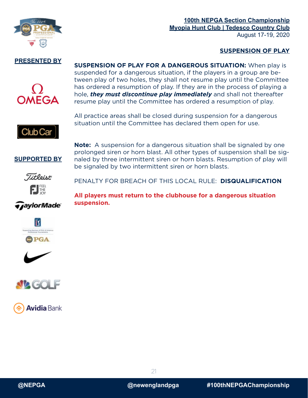

#### **SUSPENSION OF PLAY**

#### **PRESENTED BY**



**SUSPENSION OF PLAY FOR A DANGEROUS SITUATION:** When play is suspended for a dangerous situation, if the players in a group are between play of two holes, they shall not resume play until the Committee has ordered a resumption of play. If they are in the process of playing a hole, *they must discontinue play immediately* and shall not thereafter resume play until the Committee has ordered a resumption of play.

Club Car

All practice areas shall be closed during suspension for a dangerous situation until the Committee has declared them open for use.

**Note:** A suspension for a dangerous situation shall be signaled by one prolonged siren or horn blast. All other types of suspension shall be signaled by three intermittent siren or horn blasts. Resumption of play will





*GaylorMade* 

PENALTY FOR BREACH OF THIS LOCAL RULE: **DISQUALIFICATION**

be signaled by two intermittent siren or horn blasts.

**All players must return to the clubhouse for a dangerous situation suspension.**









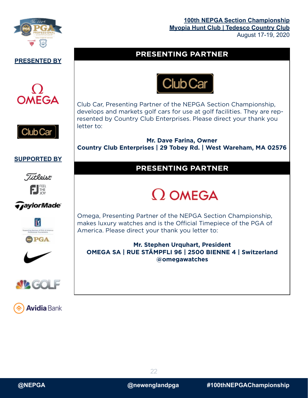

#### **PRESENTED BY**





#### **PRESENTING PARTNER**



Club Car, Presenting Partner of the NEPGA Section Championship, develops and markets golf cars for use at golf facilities. They are represented by Country Club Enterprises. Please direct your thank you letter to:

**Mr. Dave Farina, Owner Country Club Enterprises | 29 Tobey Rd. | West Wareham, MA 02576**

#### **SUPPORTED BY**







### PGA







#### **PRESENTING PARTNER**

## $\Omega$  OMEGA

Omega, Presenting Partner of the NEPGA Section Championship, makes luxury watches and is the Official Timepiece of the PGA of America. Please direct your thank you letter to:

**Mr. Stephen Urquhart, President OMEGA SA | RUE STÄMPFLI 96 | 2500 BIENNE 4 | Switzerland @omegawatches**



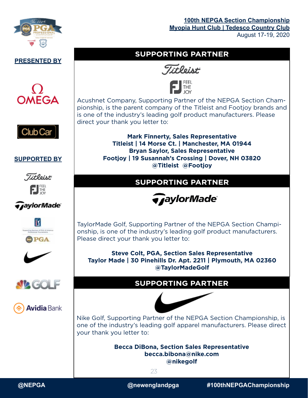



**OMEGA** 

**SUPPORTED BY**

. Titleist

FJEEL

*GaylorMade* 

lΪY

**DPGA** 

**NAGOL** 

**Avidia** Bank

Club Car

#### **SUPPORTING PARTNER**





Acushnet Company, Supporting Partner of the NEPGA Section Championship, is the parent company of the Titleist and Footjoy brands and is one of the industry's leading golf product manufacturers. Please direct your thank you letter to:

> **Mark Finnerty, Sales Representative Titleist | 14 Morse Ct. | Manchester, MA 01944 Bryan Saylor, Sales Representative Footjoy | 19 Susannah's Crossing | Dover, NH 03820 @Titleist @Footjoy**

#### **SUPPORTING PARTNER**



TaylorMade Golf, Supporting Partner of the NEPGA Section Championship, is one of the industry's leading golf product manufacturers. Please direct your thank you letter to:

**Steve Colt, PGA, Section Sales Representative Taylor Made | 30 Pinehills Dr. Apt. 2211 | Plymouth, MA 02360 @TaylorMadeGolf**

#### **SUPPORTING PARTNER**



Nike Golf, Supporting Partner of the NEPGA Section Championship, is one of the industry's leading golf apparel manufacturers. Please direct your thank you letter to:

> **Becca DiBona, Section Sales Representative becca.bibona@nike.com @nikegolf**

> > 23



**@NEPGA @newenglandpga #100thNEPGAChampionship**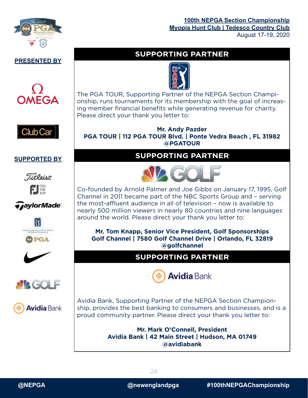

#### **PRESENTED BY**





#### **SUPPORTED BY**













#### **SUPPORTING PARTNER**



The PGA TOUR, Supporting Partner of the NEPGA Section Championship, runs tournaments for its membership with the goal of increasing member financial benefits while generating revenue for charity. Please direct your thank you letter to:

#### **Mr. Andy Pazder PGA TOUR | 112 PGA TOUR Blvd. | Ponte Vedra Beach , FL 31982 @PGATOUR**

#### **SUPPORTING PARTNER**



Co-founded by Arnold Palmer and Joe Gibbs on January 17, 1995, Golf Channel in 2011 became part of the NBC Sports Group and – serving the most-affluent audience in all of television – now is available to nearly 500 million viewers in nearly 80 countries and nine languages around the world. Please direct your thank you letter to:

**Mr. Tom Knapp, Senior Vice President, Golf Sponsorships Golf Channel | 7580 Golf Channel Drive | Orlando, FL 32819 @golfchannel**

#### **SUPPORTING PARTNER**



Avidia Bank, Supporting Partner of the NEPGA Section Championship, provides the best banking to consumers and businesses, and is a proud community partner. Please direct your thank you letter to:

> **Mr. Mark O'Connell, President Avidia Bank | 42 Main Street | Hudson, MA 01749 @avidiabank**